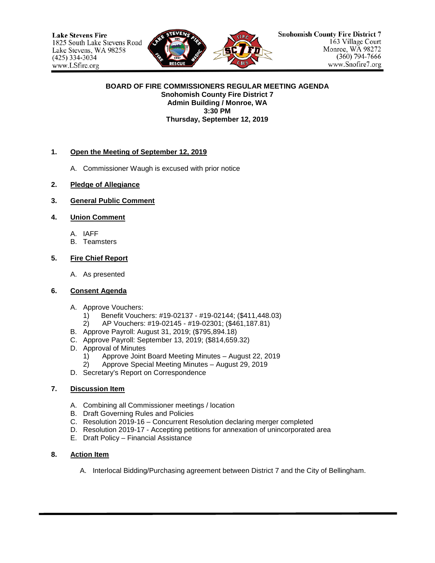

#### **BOARD OF FIRE COMMISSIONERS REGULAR MEETING AGENDA Snohomish County Fire District 7 Admin Building / Monroe, WA 3:30 PM Thursday, September 12, 2019**

#### **1. Open the Meeting of September 12, 2019**

- A. Commissioner Waugh is excused with prior notice
- **2. Pledge of Allegiance**
- **3. General Public Comment**

### **4. Union Comment**

- A. IAFF
- B. Teamsters

### **5. Fire Chief Report**

A. As presented

#### **6. Consent Agenda**

- A. Approve Vouchers:
	- 1) Benefit Vouchers: #19-02137 #19-02144; (\$411,448.03)
	- 2) AP Vouchers: #19-02145 #19-02301; (\$461,187.81)
- B. Approve Payroll: August 31, 2019; (\$795,894.18)
- C. Approve Payroll: September 13, 2019; (\$814,659.32)
- D. Approval of Minutes
	- 1) Approve Joint Board Meeting Minutes August 22, 2019<br>2) Approve Special Meeting Minutes August 29, 2019
	- 2) Approve Special Meeting Minutes August 29, 2019
- D. Secretary's Report on Correspondence

# **7. Discussion Item**

- A. Combining all Commissioner meetings / location
- B. Draft Governing Rules and Policies
- C. Resolution 2019-16 Concurrent Resolution declaring merger completed
- D. Resolution 2019-17 Accepting petitions for annexation of unincorporated area
- E. Draft Policy Financial Assistance

#### **8. Action Item**

A. Interlocal Bidding/Purchasing agreement between District 7 and the City of Bellingham.